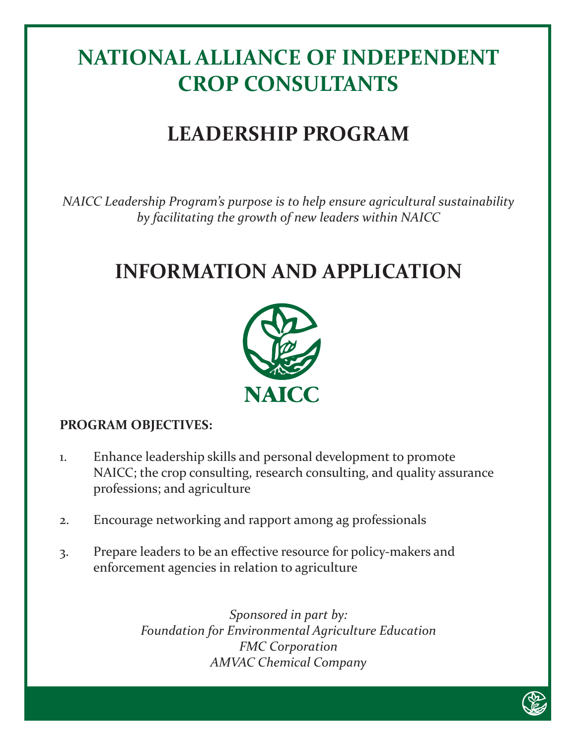# **NATIONAL ALLIANCE OF INDEPENDENT CROP CONSULTANTS**

# **LEADERSHIP PROGRAM**

*NAICC Leadership Program's purpose is to help ensure agricultural sustainability by facilitating the growth of new leaders within NAICC*

## **INFORMATION AND APPLICATION**



### **PROGRAM OBJECTIVES:**

- 1. Enhance leadership skills and personal development to promote NAICC; the crop consulting, research consulting, and quality assurance professions; and agriculture
- 2. Encourage networking and rapport among ag professionals
- 3. Prepare leaders to be an effective resource for policy-makers and enforcement agencies in relation to agriculture

*Sponsored in part by: Foundation for Environmental Agriculture Education FMC Corporation AMVAC Chemical Company*

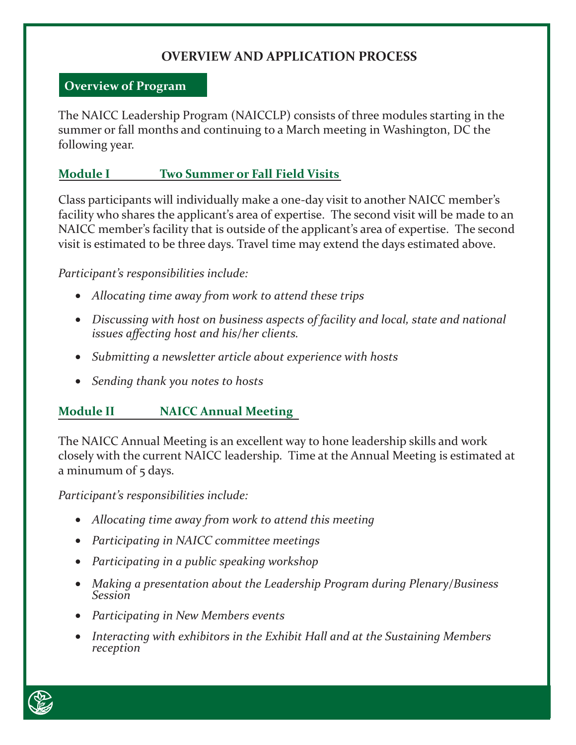### **OVERVIEW AND APPLICATION PROCESS**

#### **Overview of Program**

The NAICC Leadership Program (NAICCLP) consists of three modules starting in the summer or fall months and continuing to a March meeting in Washington, DC the following year.

#### **Module I Two Summer or Fall Field Visits**

Class participants will individually make a one-day visit to another NAICC member's facility who shares the applicant's area of expertise. The second visit will be made to an NAICC member's facility that is outside of the applicant's area of expertise. The second visit is estimated to be three days. Travel time may extend the days estimated above.

*Participant's responsibilities include:*

- • *Allocating time away from work to attend these trips*
- Discussing with host on business aspects of facility and local, state and national *issues affecting host and his/her clients.*
- • *Submitting a newsletter article about experience with hosts*
- • *Sending thank you notes to hosts*

### **Module II NAICC Annual Meeting**

The NAICC Annual Meeting is an excellent way to hone leadership skills and work closely with the current NAICC leadership. Time at the Annual Meeting is estimated at a minumum of  $\frac{1}{2}$  days.

*Participant's responsibilities include:*

- • *Allocating time away from work to attend this meeting*
- • *Participating in NAICC committee meetings*
- • *Participating in a public speaking workshop*
- • *Making a presentation about the Leadership Program during Plenary/Business Session*
- • *Participating in New Members events*
- Interacting with exhibitors in the Exhibit Hall and at the Sustaining Members *reception*

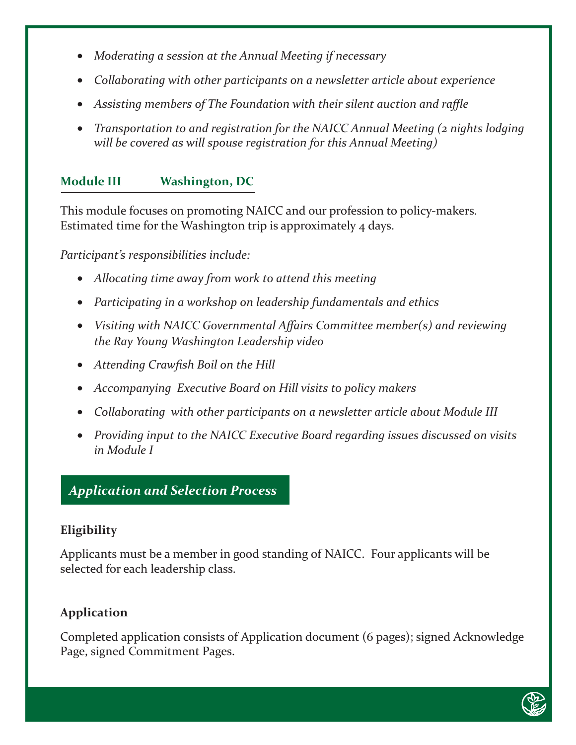- *Moderating a session at the Annual Meeting if necessary*
- • *Collaborating with other participants on a newsletter article about experience*
- • *Assisting members of The Foundation with their silent auction and raffle*
- • *Transportation to and registration for the NAICC Annual Meeting (2 nights lodging will be covered as will spouse registration for this Annual Meeting)*

## **Module III Washington, DC**

This module focuses on promoting NAICC and our profession to policy-makers. Estimated time for the Washington trip is approximately 4 days.

*Participant's responsibilities include:*

- • *Allocating time away from work to attend this meeting*
- • *Participating in a workshop on leadership fundamentals and ethics*
- Visiting with NAICC Governmental Affairs Committee member(s) and reviewing *the Ray Young Washington Leadership video*
- • *Attending Crawfish Boil on the Hill*
- • *Accompanying Executive Board on Hill visits to policy makers*
- Collaborating with other participants on a newsletter article about Module III
- Providing input to the NAICC Executive Board regarding issues discussed on visits *in Module I*

## *Application and Selection Process*

#### **Eligibility**

Applicants must be a member in good standing of NAICC. Four applicants will be selected for each leadership class.

#### **Application**

Completed application consists of Application document (6 pages); signed Acknowledge Page, signed Commitment Pages.

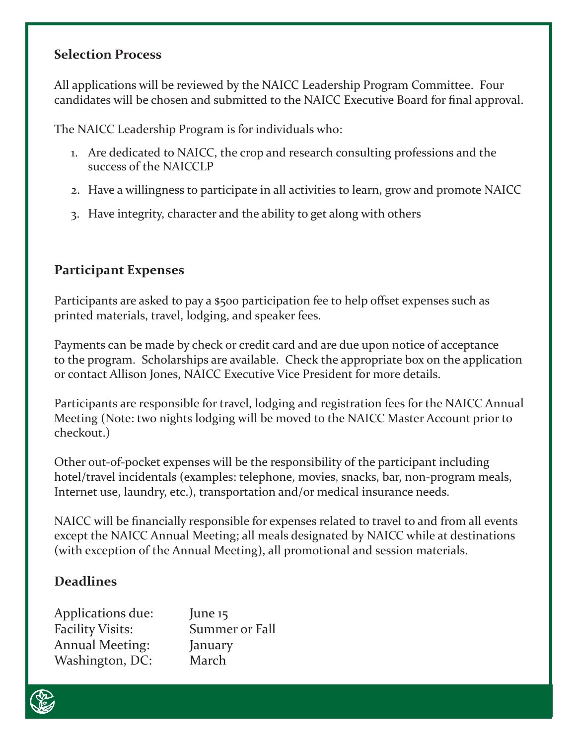#### **Selection Process**

All applications will be reviewed by the NAICC Leadership Program Committee. Four candidates will be chosen and submitted to the NAICC Executive Board for final approval.

The NAICC Leadership Program is for individuals who:

- 1. Are dedicated to NAICC, the crop and research consulting professions and the success of the NAICCLP
- 2. Have a willingness to participate in all activities to learn, grow and promote NAICC
- 3. Have integrity, character and the ability to get along with others

## **Participant Expenses**

Participants are asked to pay a \$500 participation fee to help offset expenses such as printed materials, travel, lodging, and speaker fees.

Payments can be made by check or credit card and are due upon notice of acceptance to the program. Scholarships are available. Check the appropriate box on the application or contact Allison Jones, NAICC Executive Vice President for more details.

Participants are responsible for travel, lodging and registration fees for the NAICC Annual Meeting (Note: two nights lodging will be moved to the NAICC Master Account prior to checkout.)

Other out-of-pocket expenses will be the responsibility of the participant including hotel/travel incidentals (examples: telephone, movies, snacks, bar, non-program meals, Internet use, laundry, etc.), transportation and/or medical insurance needs.

NAICC will be financially responsible for expenses related to travel to and from all events except the NAICC Annual Meeting; all meals designated by NAICC while at destinations (with exception of the Annual Meeting), all promotional and session materials.

## **Deadlines**

| Applications due:       | June $15$      |
|-------------------------|----------------|
| <b>Facility Visits:</b> | Summer or Fall |
| <b>Annual Meeting:</b>  | January        |
| Washington, DC:         | March          |

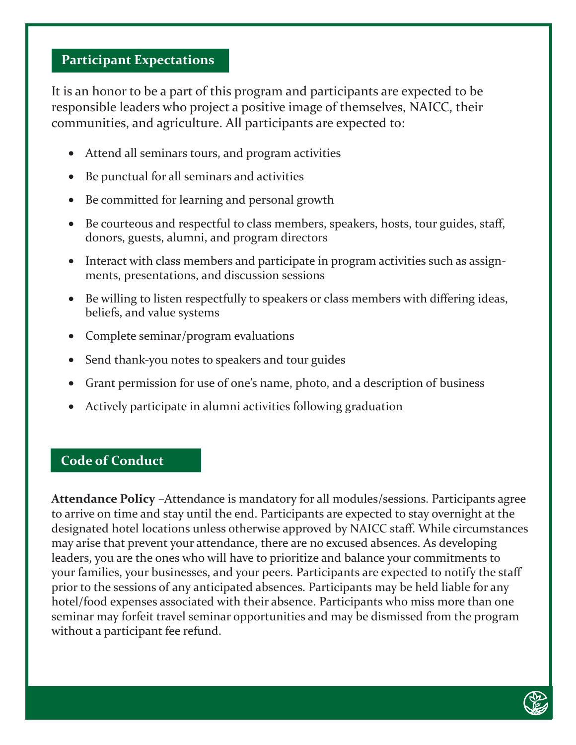#### **Participant Expectations**

It is an honor to be a part of this program and participants are expected to be responsible leaders who project a positive image of themselves, NAICC, their communities, and agriculture. All participants are expected to:

- Attend all seminars tours, and program activities
- Be punctual for all seminars and activities
- Be committed for learning and personal growth
- Be courteous and respectful to class members, speakers, hosts, tour guides, staff, donors, guests, alumni, and program directors
- Interact with class members and participate in program activities such as assignments, presentations, and discussion sessions
- Be willing to listen respectfully to speakers or class members with differing ideas, beliefs, and value systems
- • Complete seminar/program evaluations
- Send thank-you notes to speakers and tour guides
- • Grant permission for use of one's name, photo, and a description of business
- Actively participate in alumni activities following graduation

#### **Code of Conduct**

**Attendance Policy** –Attendance is mandatory for all modules/sessions. Participants agree to arrive on time and stay until the end. Participants are expected to stay overnight at the designated hotel locations unless otherwise approved by NAICC staff. While circumstances may arise that prevent your attendance, there are no excused absences. As developing leaders, you are the ones who will have to prioritize and balance your commitments to your families, your businesses, and your peers. Participants are expected to notify the staff prior to the sessions of any anticipated absences. Participants may be held liable for any hotel/food expenses associated with their absence. Participants who miss more than one seminar may forfeit travel seminar opportunities and may be dismissed from the program without a participant fee refund.

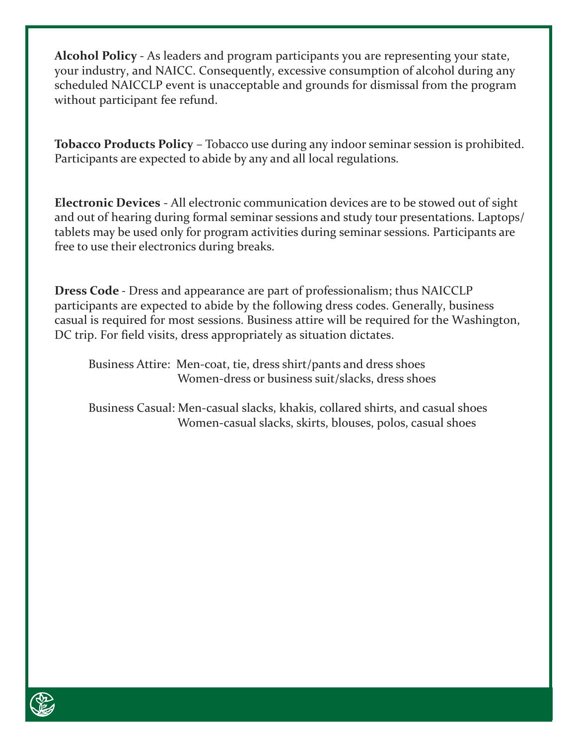**Alcohol Policy** ‐ As leaders and program participants you are representing your state, your industry, and NAICC. Consequently, excessive consumption of alcohol during any scheduled NAICCLP event is unacceptable and grounds for dismissal from the program without participant fee refund.

**Tobacco Products Policy** – Tobacco use during any indoor seminar session is prohibited. Participants are expected to abide by any and all local regulations.

**Electronic Devices** ‐ All electronic communication devices are to be stowed out of sight and out of hearing during formal seminar sessions and study tour presentations. Laptops/ tablets may be used only for program activities during seminar sessions. Participants are free to use their electronics during breaks.

**Dress Code** ‐ Dress and appearance are part of professionalism; thus NAICCLP participants are expected to abide by the following dress codes. Generally, business casual is required for most sessions. Business attire will be required for the Washington, DC trip. For field visits, dress appropriately as situation dictates.

 Business Attire: Men‐coat, tie, dress shirt/pants and dress shoes Women-dress or business suit/slacks, dress shoes

 Business Casual: Men‐casual slacks, khakis, collared shirts, and casual shoes Women-casual slacks, skirts, blouses, polos, casual shoes

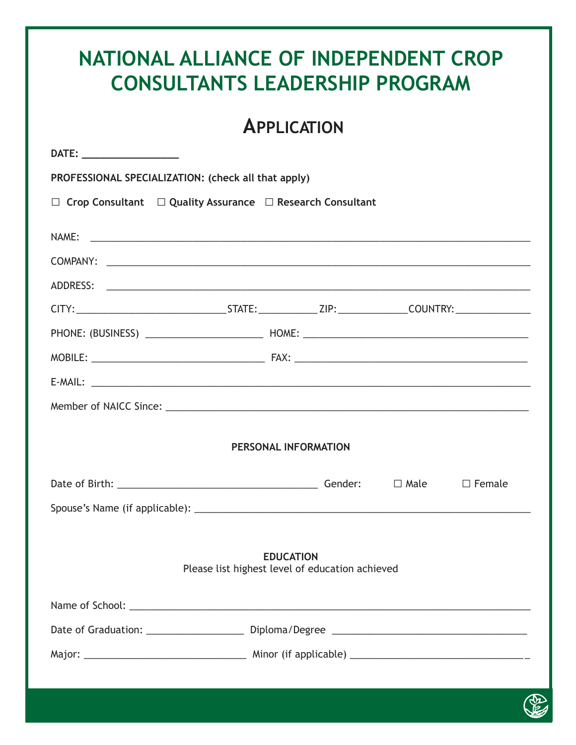| NATIONAL ALLIANCE OF INDEPENDENT CROP<br><b>CONSULTANTS LEADERSHIP PROGRAM</b>                                                  |                    |             |               |  |
|---------------------------------------------------------------------------------------------------------------------------------|--------------------|-------------|---------------|--|
|                                                                                                                                 | <b>APPLICATION</b> |             |               |  |
|                                                                                                                                 |                    |             |               |  |
| PROFESSIONAL SPECIALIZATION: (check all that apply)                                                                             |                    |             |               |  |
| $\Box$ Crop Consultant $\Box$ Quality Assurance $\Box$ Research Consultant                                                      |                    |             |               |  |
|                                                                                                                                 |                    |             |               |  |
|                                                                                                                                 |                    |             |               |  |
|                                                                                                                                 |                    |             |               |  |
|                                                                                                                                 |                    |             |               |  |
|                                                                                                                                 |                    |             |               |  |
|                                                                                                                                 |                    |             |               |  |
|                                                                                                                                 |                    |             |               |  |
| Member of NAICC Since: 1999 Manual Manual Manual Manual Manual Manual Manual Manual Manual Manual Manual Manua                  |                    |             |               |  |
| PERSONAL INFORMATION                                                                                                            |                    |             |               |  |
|                                                                                                                                 |                    | $\Box$ Male | $\Box$ Female |  |
|                                                                                                                                 |                    |             |               |  |
|                                                                                                                                 |                    |             |               |  |
| <b>EDUCATION</b><br>Please list highest level of education achieved                                                             |                    |             |               |  |
|                                                                                                                                 |                    |             |               |  |
|                                                                                                                                 |                    |             |               |  |
|                                                                                                                                 |                    |             |               |  |
| $\mathcal{L}^{\text{max}}_{\text{max}}$ and $\mathcal{L}^{\text{max}}_{\text{max}}$ and $\mathcal{L}^{\text{max}}_{\text{max}}$ |                    |             |               |  |

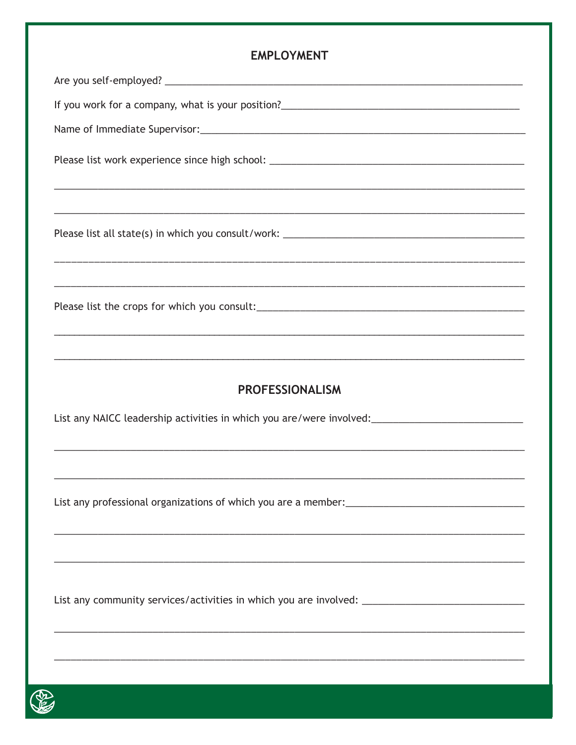**EMPLOYMENT** If you work for a company, what is your position?<br>
<u>If</u> you work for a company, what is your position? **PROFESSIONALISM** List any community services/activities in which you are involved: \_\_\_\_\_\_\_\_\_\_\_\_\_\_\_\_\_\_\_\_\_\_\_\_\_\_\_\_\_\_\_\_\_\_

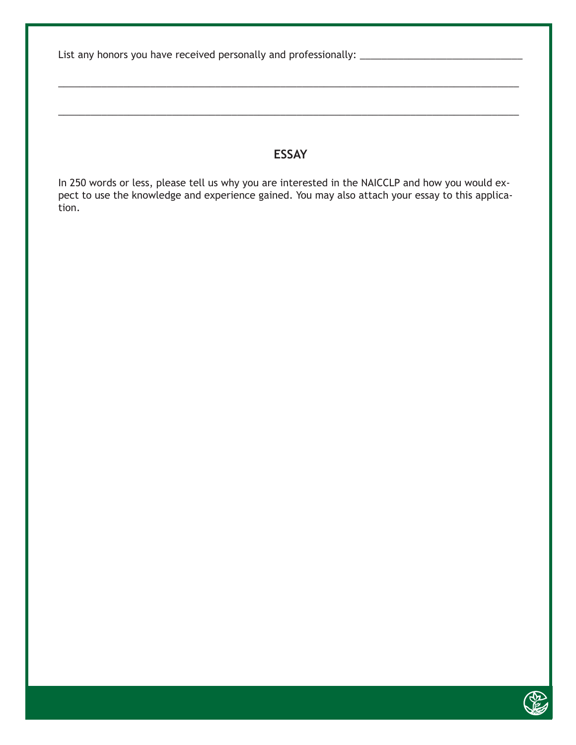List any honors you have received personally and professionally: \_\_\_\_\_\_\_\_\_\_\_\_\_\_\_\_\_\_\_\_\_\_\_\_\_\_\_\_\_\_

#### **ESSAY**

\_\_\_\_\_\_\_\_\_\_\_\_\_\_\_\_\_\_\_\_\_\_\_\_\_\_\_\_\_\_\_\_\_\_\_\_\_\_\_\_\_\_\_\_\_\_\_\_\_\_\_\_\_\_\_\_\_\_\_\_\_\_\_\_\_\_\_\_\_\_\_\_\_\_\_\_\_\_\_\_\_\_\_\_\_

\_\_\_\_\_\_\_\_\_\_\_\_\_\_\_\_\_\_\_\_\_\_\_\_\_\_\_\_\_\_\_\_\_\_\_\_\_\_\_\_\_\_\_\_\_\_\_\_\_\_\_\_\_\_\_\_\_\_\_\_\_\_\_\_\_\_\_\_\_\_\_\_\_\_\_\_\_\_\_\_\_\_\_\_\_

In 250 words or less, please tell us why you are interested in the NAICCLP and how you would expect to use the knowledge and experience gained. You may also attach your essay to this application.

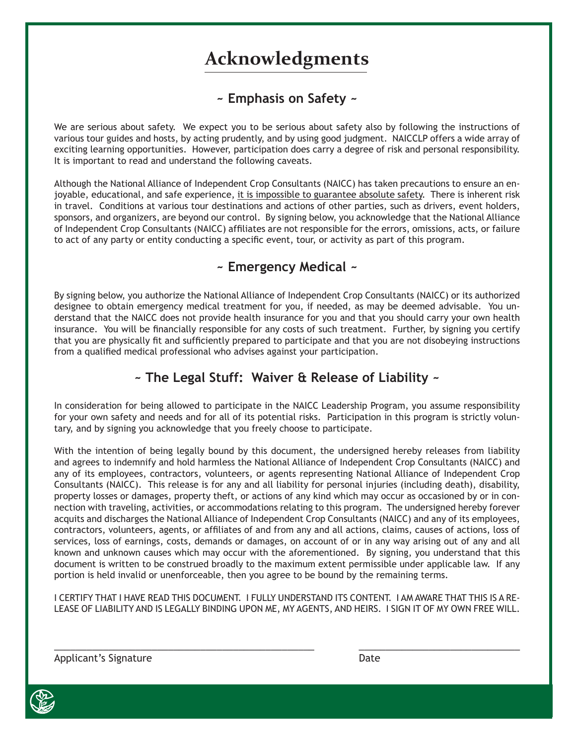## **Acknowledgments**

#### **~ Emphasis on Safety ~**

We are serious about safety. We expect you to be serious about safety also by following the instructions of various tour guides and hosts, by acting prudently, and by using good judgment. NAICCLP offers a wide array of exciting learning opportunities. However, participation does carry a degree of risk and personal responsibility. It is important to read and understand the following caveats.

Although the National Alliance of Independent Crop Consultants (NAICC) has taken precautions to ensure an enjoyable, educational, and safe experience, it is impossible to guarantee absolute safety. There is inherent risk in travel. Conditions at various tour destinations and actions of other parties, such as drivers, event holders, sponsors, and organizers, are beyond our control. By signing below, you acknowledge that the National Alliance of Independent Crop Consultants (NAICC) affiliates are not responsible for the errors, omissions, acts, or failure to act of any party or entity conducting a specific event, tour, or activity as part of this program.

#### **~ Emergency Medical ~**

By signing below, you authorize the National Alliance of Independent Crop Consultants (NAICC) or its authorized designee to obtain emergency medical treatment for you, if needed, as may be deemed advisable. You understand that the NAICC does not provide health insurance for you and that you should carry your own health insurance. You will be financially responsible for any costs of such treatment. Further, by signing you certify that you are physically fit and sufficiently prepared to participate and that you are not disobeying instructions from a qualified medical professional who advises against your participation.

### **~ The Legal Stuff: Waiver & Release of Liability ~**

In consideration for being allowed to participate in the NAICC Leadership Program, you assume responsibility for your own safety and needs and for all of its potential risks. Participation in this program is strictly voluntary, and by signing you acknowledge that you freely choose to participate.

With the intention of being legally bound by this document, the undersigned hereby releases from liability and agrees to indemnify and hold harmless the National Alliance of Independent Crop Consultants (NAICC) and any of its employees, contractors, volunteers, or agents representing National Alliance of Independent Crop Consultants (NAICC). This release is for any and all liability for personal injuries (including death), disability, property losses or damages, property theft, or actions of any kind which may occur as occasioned by or in connection with traveling, activities, or accommodations relating to this program. The undersigned hereby forever acquits and discharges the National Alliance of Independent Crop Consultants (NAICC) and any of its employees, contractors, volunteers, agents, or affiliates of and from any and all actions, claims, causes of actions, loss of services, loss of earnings, costs, demands or damages, on account of or in any way arising out of any and all known and unknown causes which may occur with the aforementioned. By signing, you understand that this document is written to be construed broadly to the maximum extent permissible under applicable law. If any portion is held invalid or unenforceable, then you agree to be bound by the remaining terms.

I CERTIFY THAT I HAVE READ THIS DOCUMENT. I FULLY UNDERSTAND ITS CONTENT. I AM AWARE THAT THIS IS A RE-LEASE OF LIABILITY AND IS LEGALLY BINDING UPON ME, MY AGENTS, AND HEIRS. I SIGN IT OF MY OWN FREE WILL.

\_\_\_\_\_\_\_\_\_\_\_\_\_\_\_\_\_\_\_\_\_\_\_\_\_\_\_\_\_\_\_\_\_\_\_\_\_\_\_\_\_\_\_\_\_\_\_\_ \_\_\_\_\_\_\_\_\_\_\_\_\_\_\_\_\_\_\_\_\_\_\_\_\_\_\_\_\_\_

Applicant's Signature **Date** Date

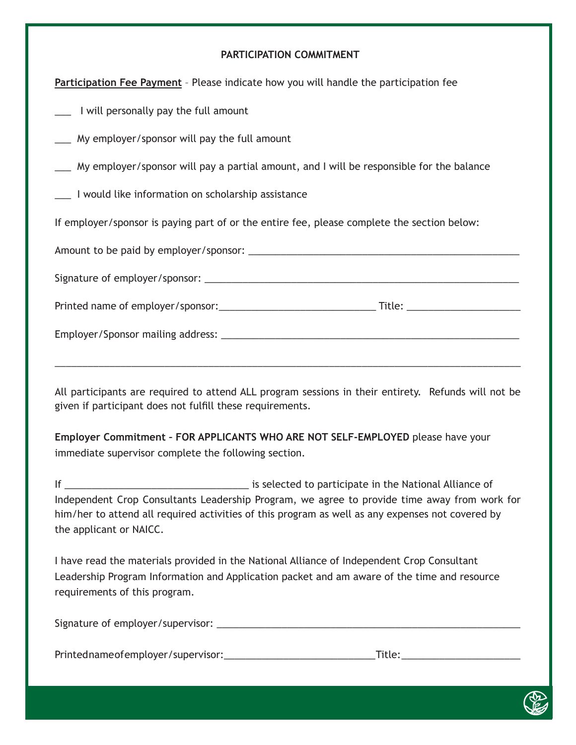#### **PARTICIPATION COMMITMENT**

**Participation Fee Payment** – Please indicate how you will handle the participation fee

\_\_\_ I will personally pay the full amount

\_\_\_ My employer/sponsor will pay the full amount

\_\_\_ My employer/sponsor will pay a partial amount, and I will be responsible for the balance

\_\_\_ I would like information on scholarship assistance

If employer/sponsor is paying part of or the entire fee, please complete the section below:

| _Title: _________________________ |
|-----------------------------------|
|                                   |
|                                   |

All participants are required to attend ALL program sessions in their entirety. Refunds will not be given if participant does not fulfill these requirements.

**Employer Commitment – FOR APPLICANTS WHO ARE NOT SELF-EMPLOYED** please have your immediate supervisor complete the following section.

If **If If**  $\qquad \qquad \qquad$  **If**  $\qquad \qquad \qquad$  is selected to participate in the National Alliance of Independent Crop Consultants Leadership Program, we agree to provide time away from work for him/her to attend all required activities of this program as well as any expenses not covered by the applicant or NAICC.

I have read the materials provided in the National Alliance of Independent Crop Consultant Leadership Program Information and Application packet and am aware of the time and resource requirements of this program.

Signature of employer/supervisor: \_\_\_\_\_\_\_\_\_\_\_\_\_\_\_\_\_\_\_\_\_\_\_\_\_\_\_\_\_\_\_\_\_\_\_\_\_\_\_\_\_\_\_\_\_\_\_\_\_\_\_\_\_\_\_\_

Printed name of employer/supervisor:\_\_\_\_\_\_\_\_\_\_\_\_\_\_\_\_\_\_\_\_\_\_\_\_\_\_\_\_ Title: \_\_\_\_\_\_\_\_\_\_\_\_\_\_\_\_\_\_\_\_\_\_